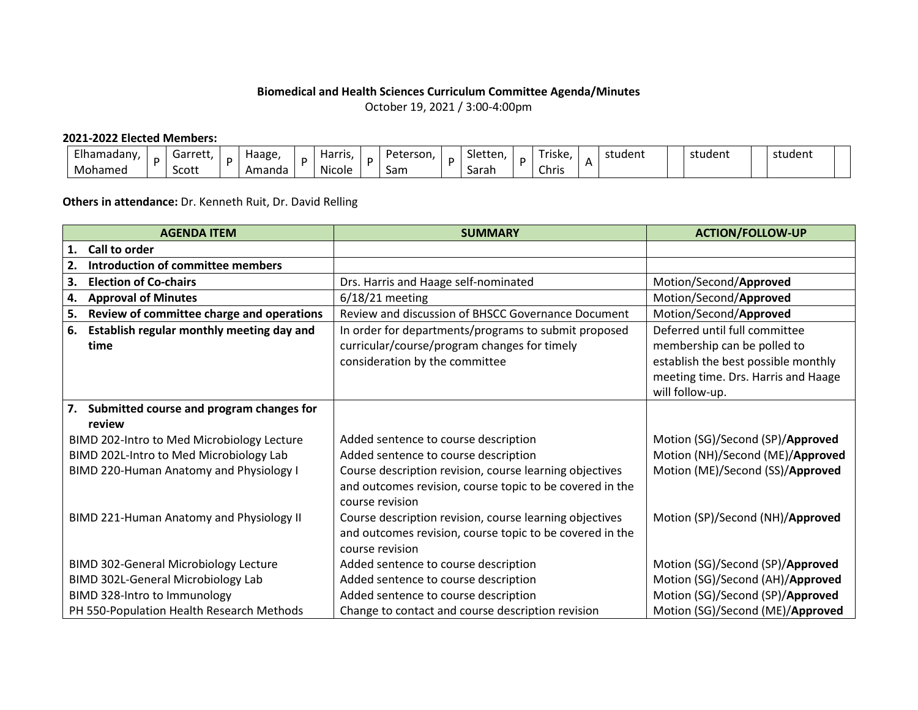## **Biomedical and Health Sciences Curriculum Committee Agenda/Minutes**

October 19, 2021 / 3:00-4:00pm

## **2021-2022 Elected Members:**

| Elhamadany. | arre+'<br>. | . . | Haage, | . .<br>Harris. | Peterson. | $\sim$<br>Sletter | $ -$<br>riske. | student<br>$-1$ | student | student |
|-------------|-------------|-----|--------|----------------|-----------|-------------------|----------------|-----------------|---------|---------|
| Mohamed     | Scott       |     | Amanda | .<br>Nicole    | Sam       | Sarah             | Chris          |                 |         |         |

## **Others in attendance:** Dr. Kenneth Ruit, Dr. David Relling

| <b>AGENDA ITEM</b>                                      | <b>SUMMARY</b>                                                                                                                         | <b>ACTION/FOLLOW-UP</b>                                                                                                                                       |  |  |  |
|---------------------------------------------------------|----------------------------------------------------------------------------------------------------------------------------------------|---------------------------------------------------------------------------------------------------------------------------------------------------------------|--|--|--|
| Call to order<br>1.                                     |                                                                                                                                        |                                                                                                                                                               |  |  |  |
| Introduction of committee members<br>2.                 |                                                                                                                                        |                                                                                                                                                               |  |  |  |
| <b>Election of Co-chairs</b><br>3.                      | Drs. Harris and Haage self-nominated                                                                                                   | Motion/Second/Approved                                                                                                                                        |  |  |  |
| <b>Approval of Minutes</b><br>4.                        | $6/18/21$ meeting                                                                                                                      | Motion/Second/Approved                                                                                                                                        |  |  |  |
| Review of committee charge and operations<br>5.         | Review and discussion of BHSCC Governance Document                                                                                     | Motion/Second/Approved                                                                                                                                        |  |  |  |
| Establish regular monthly meeting day and<br>6.<br>time | In order for departments/programs to submit proposed<br>curricular/course/program changes for timely<br>consideration by the committee | Deferred until full committee<br>membership can be polled to<br>establish the best possible monthly<br>meeting time. Drs. Harris and Haage<br>will follow-up. |  |  |  |
| Submitted course and program changes for<br>7.          |                                                                                                                                        |                                                                                                                                                               |  |  |  |
| review                                                  |                                                                                                                                        |                                                                                                                                                               |  |  |  |
| BIMD 202-Intro to Med Microbiology Lecture              | Added sentence to course description                                                                                                   | Motion (SG)/Second (SP)/Approved                                                                                                                              |  |  |  |
| BIMD 202L-Intro to Med Microbiology Lab                 | Added sentence to course description                                                                                                   | Motion (NH)/Second (ME)/Approved                                                                                                                              |  |  |  |
| BIMD 220-Human Anatomy and Physiology I                 | Course description revision, course learning objectives<br>and outcomes revision, course topic to be covered in the<br>course revision | Motion (ME)/Second (SS)/Approved                                                                                                                              |  |  |  |
| BIMD 221-Human Anatomy and Physiology II                | Course description revision, course learning objectives<br>and outcomes revision, course topic to be covered in the<br>course revision | Motion (SP)/Second (NH)/Approved                                                                                                                              |  |  |  |
| <b>BIMD 302-General Microbiology Lecture</b>            | Added sentence to course description                                                                                                   | Motion (SG)/Second (SP)/Approved                                                                                                                              |  |  |  |
| <b>BIMD 302L-General Microbiology Lab</b>               | Added sentence to course description                                                                                                   | Motion (SG)/Second (AH)/Approved                                                                                                                              |  |  |  |
| BIMD 328-Intro to Immunology                            | Added sentence to course description                                                                                                   | Motion (SG)/Second (SP)/Approved                                                                                                                              |  |  |  |
| PH 550-Population Health Research Methods               | Change to contact and course description revision                                                                                      | Motion (SG)/Second (ME)/Approved                                                                                                                              |  |  |  |